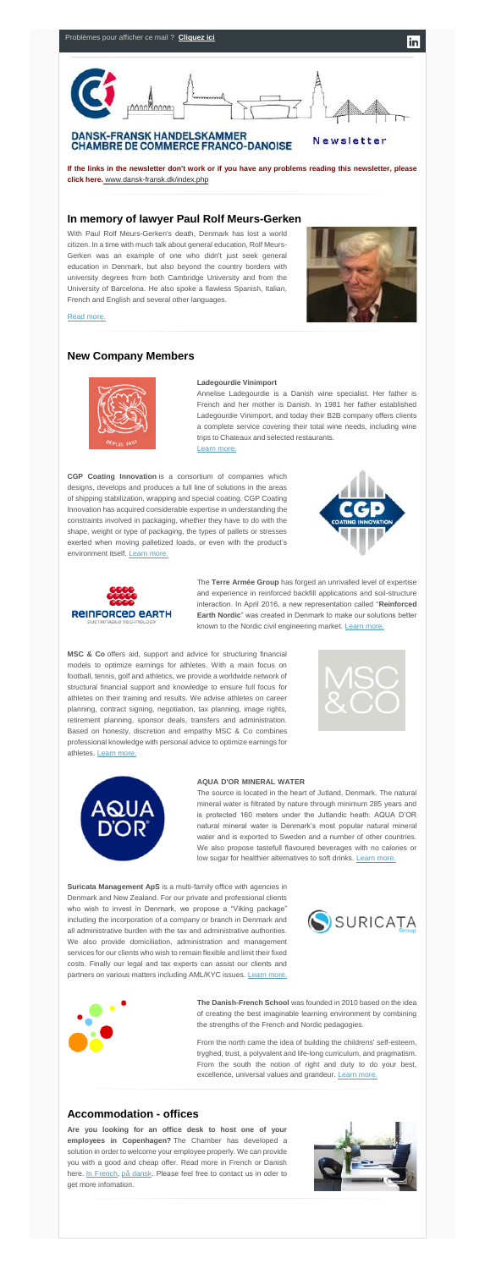

**If the links in the newsletter don't work or if you have any problems reading this newsletter, please click her[e.](http://www.dansk-fransk.dk/index.php?id=39103)** [www.dansk-fransk.dk/index.php](http://www.dansk-fransk.dk/index.php?id=29300)

### **In memory of lawyer Paul Rolf Meurs-Gerken**

With Paul Rolf Meurs-Gerken's death, Denmark has lost a world citizen. In a time with much talk about general education, Rolf Meurs-Gerken was an example of one who didn't just seek general education in Denmark, but also beyond the country borders with university degrees from both Cambridge University and from the University of Barcelona. He also spoke a flawless Spanish, Italian, French and English and several other languages.



in

[Read more.](http://www.dansk-fransk.dk/index.php?id=29684)

### **New Company Members**



#### **Ladegourdie Vinimport………………………………………………...**

Annelise Ladegourdie is a Danish wine specialist. Her father is French and her mother is Danish. In 1981 her father established Ladegourdie Vinimport, and today their B2B company offers clients a complete service covering their total wine needs, including wine trips to Chateaux and selected restaurants. **……………………………**

[Learn more.](http://www.dansk-fransk.dk/index.php?id=29224)

The source is located in the heart of Jutland, Denmark. The natural mineral water is filtrated by nature through minimum 285 years and is protected 160 meters under the Jutlandic heath. AQUA D'OR natural mineral water is Denmark's most popular natural mineral water and is exported to Sweden and a number of other countries. We also propose tastefull flavoured beverages with no calories or low sugar for healthier alternatives to soft drinks. [Learn more.](http://www.dansk-fransk.dk/index.php?id=29660)

**CGP Coating Innovation** is a consortium of companies which designs, develops and produces a full line of solutions in the areas of shipping stabilization, wrapping and special coating. CGP Coating Innovation has acquired considerable expertise in understanding the constraints involved in packaging, whether they have to do with the shape, weight or type of packaging, the types of pallets or stresses exerted when moving palletized loads, or even with the product's environment itself. [Learn more.](http://www.dansk-fransk.dk/index.php?id=29303)





**Suricata Management ApS** is a multi-family office with agencies in Denmark and New Zealand. For our private and professional clients who wish to invest in Denmark, we propose a "Viking package" including the incorporation of a company or branch in Denmark and all administrative burden with the tax and administrative authorities. We also provide domiciliation, administration and management services for our clients who wish to remain flexible and limit their fixed costs. Finally our legal and tax experts can assist our clients and partners on various matters including AML/KYC issues. [Learn more.](http://suricatagroup.com/)





The **Terre Armée Group** has forged an unrivalled level of expertise and experience in reinforced backfill applications and soil-structure interaction. In April 2016, a new representation called "**Reinforced Earth Nordic**" was created in Denmark to make our solutions better known to the Nordic civil engineering market. [Learn more.](http://www.dansk-fransk.dk/index.php?id=29770)

From the north came the idea of building the childrens' self-esteem, tryghed, trust, a polyvalent and life-long curriculum, and pragmatism. From the south the notion of right and duty to do your best, excellence, universal values and grandeur. [Learn more.](http://www.dansk-fransk.dk/index.php?id=29661)

**MSC & Co** offers aid, support and advice for structuring financial models to optimize earnings for athletes. With a main focus on football, tennis, golf and athletics, we provide a worldwide network of structural financial support and knowledge to ensure full focus for athletes on their training and results. We advise athletes on career planning, contract signing, negotiation, tax planning, image rights, retirement planning, sponsor deals, transfers and administration. Based on honesty, discretion and empathy MSC & Co combines professional knowledge with personal advice to optimize earnings for athletes. [Learn more.](http://mscandco.com/)



#### **AQUA D'OR MINERAL WATER**

**The Danish-French School** was founded in 2010 based on the idea of creating the best imaginable learning environment by combining the strengths of the French and Nordic pedagogies.

## **Accommodation - offices**

**Are you looking for an office desk to host one of your employees in Copenhagen?** The Chamber has developed a solution in order to welcome your employee properly. We can provide you with a good and cheap offer. Read more in French or Danish here. [In French,](http://www.dansk-fransk.dk/services-aux-entreprises/hebergement-bureaux/) [på dansk.](http://www.dansk-fransk.dk/dk/service-til-virksomheder/indlogering-i-danmark/) Please feel free to contact us in oder to get more infomation.

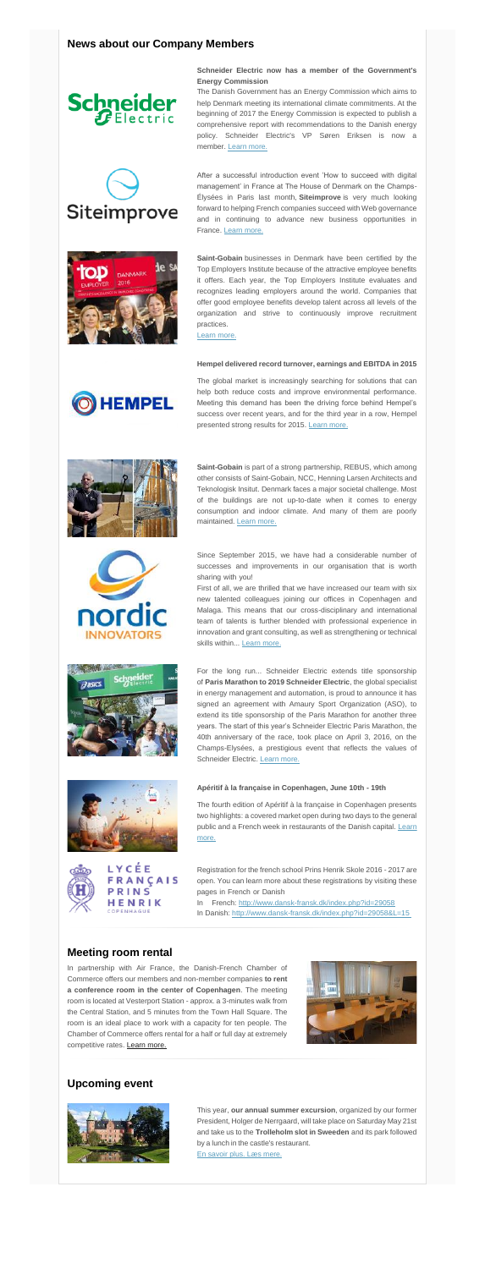# **News about our Company Members**





**Schneider Electric now has a member of the Government's Energy Commission……………………………………………………**

After a successful introduction event 'How to succeed with digital management' in France at The House of Denmark on the Champs-Élysées in Paris last month, **Siteimprove** is very much looking forward to helping French companies succeed with Web governance and in continuing to advance new business opportunities in France. [Learn more.](http://www.dansk-fransk.dk/index.php?id=8336&no_cache=1&tx_news_pi1%5Bcontroller%5D=News&tx_news_pi1%5Baction%5D=detail&tx_news_pi1%5Bnews_preview%5D=41240&L=15)



The Danish Government has an Energy Commission which aims to help Denmark meeting its international climate commitments. At the beginning of 2017 the Energy Commission is expected to publish a comprehensive report with recommendations to the Danish energy policy. Schneider Electric's VP Søren Eriksen is now a member. [Learn more.](http://www.dansk-fransk.dk/index.php?id=29668)

The global market is increasingly searching for solutions that can help both reduce costs and improve environmental performance. Meeting this demand has been the driving force behind Hempel's success over recent years, and for the third year in a row, Hempel presented strong results for 2015. [Learn more.](http://newspublicator.dk/e10/parker/pm/39ccca6ecac23f8d/mc5234413/view/)







**Saint-Gobain** businesses in Denmark have been certified by the Top Employers Institute because of the attractive employee benefits it offers. Each year, the Top Employers Institute evaluates and recognizes leading employers around the world. Companies that offer good employee benefits develop talent across all levels of the organization and strive to continuously improve recruitment practices.

First of all, we are thrilled that we have increased our team with six new talented colleagues joining our offices in Copenhagen and Malaga. This means that our cross-disciplinary and international team of talents is further blended with professional experience in innovation and grant consulting, as well as strengthening or technical skills within... [Learn more.](http://www.dansk-fransk.dk/index.php?id=8336&no_cache=1&tx_news_pi1%5Bcontroller%5D=News&tx_news_pi1%5Baction%5D=detail&tx_news_pi1%5Bnews_preview%5D=41244)

[Learn more.](http://www.dansk-fransk.dk/single-news/n/saint-gobain-denmark-named-top-employer/)

#### **Hempel delivered record turnover, earnings and EBITDA in 2015**



**Saint-Gobain** is part of a strong partnership, REBUS, which among other consists of Saint-Gobain, NCC, Henning Larsen Architects and Teknologisk Insitut. Denmark faces a major societal challenge. Most of the buildings are not up-to-date when it comes to energy consumption and indoor climate. And many of them are poorly maintained. [Learn more.](http://www.dansk-fransk.dk/single-news/n/saint-gobain-part-of-strong-partnership-aiming-to-solve-renovation-challenges/)

In partnership with Air France, the Danish-French Chamber of Commerce offers our members and non-member companies **to rent a conference room in the center of Copenhagen**. The meeting room is located at Vesterport Station - approx. a 3-minutes walk from the Central Station, and 5 minutes from the Town Hall Square. The room is an ideal place to work with a capacity for ten people. The Chamber of Commerce offers rental for a half or full day at extremely competitive rates. [Learn more.](http://www.dansk-fransk.dk/services-aux-entreprises/location-salle-de-reunion/)



Since September 2015, we have had a considerable number of successes and improvements in our organisation that is worth sharing with you! **…………………………………………………………**

For the long run... Schneider Electric extends title sponsorship of **Paris Marathon to 2019 Schneider Electric**, the global specialist in energy management and automation, is proud to announce it has signed an agreement with Amaury Sport Organization (ASO), to extend its title sponsorship of the Paris Marathon for another three years. The start of this year's Schneider Electric Paris Marathon, the

CÉE **FRANÇAIS** 

PRINS HENRIK COPENHAGUE



### **Apéritif à la française in Copenhagen, June 10th - 19th**

The fourth edition of Apéritif à la française in Copenhagen presents two highlights: a covered market open during two days to the general public and a French week in restaurants of the Danish capital. Learn [more.](http://www.dansk-fransk.dk/actualite/evenements/vue-detail/d/aperitif-a-la-francaise-in-copenhagen-2/)



Registration for the french school Prins Henrik Skole 2016 - 2017 are open. You can learn more about these registrations by visiting these pages in French or Danish**………………………………………………**

In French: [http://www.dansk-fransk.dk/index.php?id=29058](http://www.dansk-fransk.dk/?id=29058)**………** In Danish: <http://www.dansk-fransk.dk/index.php?id=29058&L=15>

## **Meeting room rental**

## **Upcoming event**



This year, **our annual summer excursion**, organized by our former President, Holger de Nerrgaard, will take place on Saturday May 21st and take us to the **Trolleholm slot in Sweeden** and its park followed by a lunch in the castle's restaurant. **……………………………………** [En savoir plus.](http://www.dansk-fransk.dk/actualite/evenements/vue-detail/d/annual-excursion-2016/) [Læs mere.](http://www.dansk-fransk.dk/dk/sidste-nyt/kalender/vue-detail/d/annual-excursion-2016-dk/)